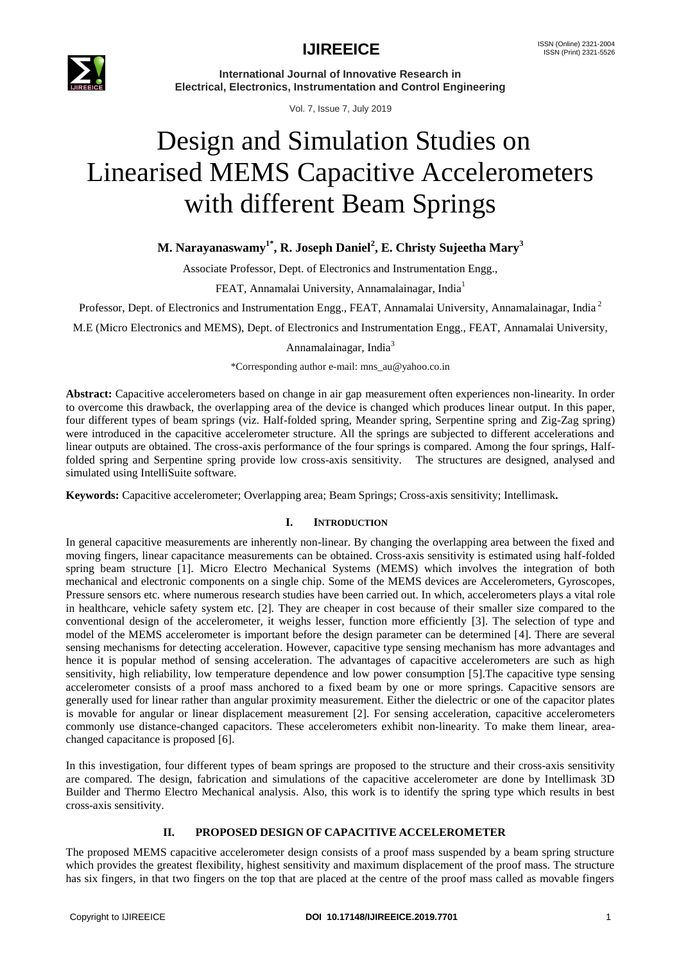

**International Journal of Innovative Research in Electrical, Electronics, Instrumentation and Control Engineering**

Vol. 7, Issue 7, July 2019

# Design and Simulation Studies on Linearised MEMS Capacitive Accelerometers with different Beam Springs

### **M. Narayanaswamy1\* , R. Joseph Daniel<sup>2</sup> , E. Christy Sujeetha Mary<sup>3</sup>**

Associate Professor, Dept. of Electronics and Instrumentation Engg.,

FEAT, Annamalai University, Annamalainagar, India<sup>1</sup>

Professor, Dept. of Electronics and Instrumentation Engg., FEAT, Annamalai University, Annamalainagar, India<sup>2</sup>

M.E (Micro Electronics and MEMS), Dept. of Electronics and Instrumentation Engg., FEAT, Annamalai University,

#### Annamalainagar, India<sup>3</sup>

\*Corresponding author e-mail: [mns\\_au@yahoo.co.in](mailto:mns_au@yahoo.co.in)

**Abstract:** Capacitive accelerometers based on change in air gap measurement often experiences non-linearity. In order to overcome this drawback, the overlapping area of the device is changed which produces linear output. In this paper, four different types of beam springs (viz. Half-folded spring, Meander spring, Serpentine spring and Zig-Zag spring) were introduced in the capacitive accelerometer structure. All the springs are subjected to different accelerations and linear outputs are obtained. The cross-axis performance of the four springs is compared. Among the four springs, Halffolded spring and Serpentine spring provide low cross-axis sensitivity. The structures are designed, analysed and simulated using IntelliSuite software.

**Keywords:** Capacitive accelerometer; Overlapping area; Beam Springs; Cross-axis sensitivity; Intellimask**.**

#### **I. INTRODUCTION**

In general capacitive measurements are inherently non-linear. By changing the overlapping area between the fixed and moving fingers, linear capacitance measurements can be obtained. Cross-axis sensitivity is estimated using half-folded spring beam structure [1]. Micro Electro Mechanical Systems (MEMS) which involves the integration of both mechanical and electronic components on a single chip. Some of the MEMS devices are Accelerometers, Gyroscopes, Pressure sensors etc. where numerous research studies have been carried out. In which, accelerometers plays a vital role in healthcare, vehicle safety system etc. [2]. They are cheaper in cost because of their smaller size compared to the conventional design of the accelerometer, it weighs lesser, function more efficiently [3]. The selection of type and model of the MEMS accelerometer is important before the design parameter can be determined [4]. There are several sensing mechanisms for detecting acceleration. However, capacitive type sensing mechanism has more advantages and hence it is popular method of sensing acceleration. The advantages of capacitive accelerometers are such as high sensitivity, high reliability, low temperature dependence and low power consumption [5].The capacitive type sensing accelerometer consists of a proof mass anchored to a fixed beam by one or more springs. Capacitive sensors are generally used for linear rather than angular proximity measurement. Either the dielectric or one of the capacitor plates is movable for angular or linear displacement measurement [2]. For sensing acceleration, capacitive accelerometers commonly use distance-changed capacitors. These accelerometers exhibit non-linearity. To make them linear, areachanged capacitance is proposed [6].

In this investigation, four different types of beam springs are proposed to the structure and their cross-axis sensitivity are compared. The design, fabrication and simulations of the capacitive accelerometer are done by Intellimask 3D Builder and Thermo Electro Mechanical analysis. Also, this work is to identify the spring type which results in best cross-axis sensitivity.

#### **II. PROPOSED DESIGN OF CAPACITIVE ACCELEROMETER**

The proposed MEMS capacitive accelerometer design consists of a proof mass suspended by a beam spring structure which provides the greatest flexibility, highest sensitivity and maximum displacement of the proof mass. The structure has six fingers, in that two fingers on the top that are placed at the centre of the proof mass called as movable fingers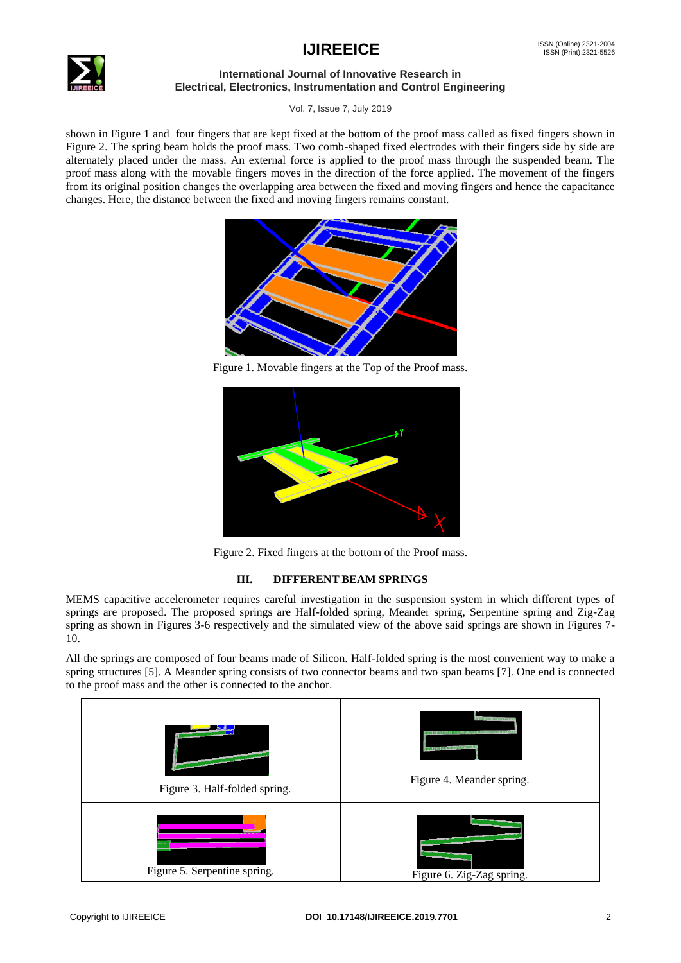

#### **International Journal of Innovative Research in Electrical, Electronics, Instrumentation and Control Engineering**

Vol. 7, Issue 7, July 2019

shown in Figure 1 and four fingers that are kept fixed at the bottom of the proof mass called as fixed fingers shown in Figure 2. The spring beam holds the proof mass. Two comb-shaped fixed electrodes with their fingers side by side are alternately placed under the mass. An external force is applied to the proof mass through the suspended beam. The proof mass along with the movable fingers moves in the direction of the force applied. The movement of the fingers from its original position changes the overlapping area between the fixed and moving fingers and hence the capacitance changes. Here, the distance between the fixed and moving fingers remains constant.



Figure 1. Movable fingers at the Top of the Proof mass.



Figure 2. Fixed fingers at the bottom of the Proof mass.

### **III. DIFFERENT BEAM SPRINGS**

MEMS capacitive accelerometer requires careful investigation in the suspension system in which different types of springs are proposed. The proposed springs are Half-folded spring, Meander spring, Serpentine spring and Zig-Zag spring as shown in Figures 3-6 respectively and the simulated view of the above said springs are shown in Figures 7- 10.

All the springs are composed of four beams made of Silicon. Half-folded spring is the most convenient way to make a spring structures [5]. A Meander spring consists of two connector beams and two span beams [7]. One end is connected to the proof mass and the other is connected to the anchor.

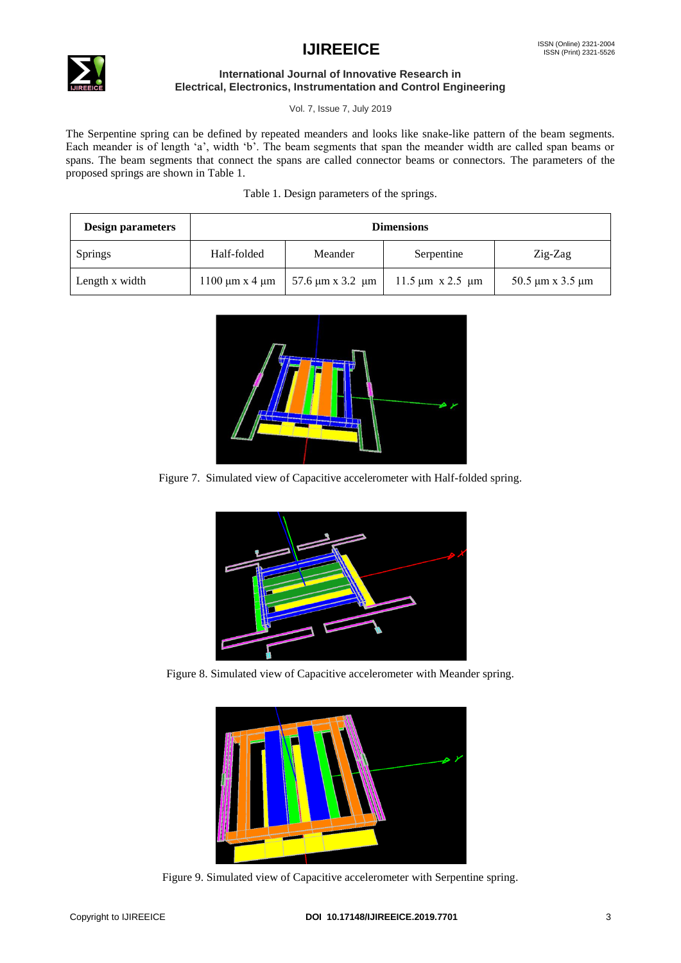

#### **International Journal of Innovative Research in Electrical, Electronics, Instrumentation and Control Engineering**

Vol. 7, Issue 7, July 2019

The Serpentine spring can be defined by repeated meanders and looks like snake-like pattern of the beam segments. Each meander is of length 'a', width 'b'. The beam segments that span the meander width are called span beams or spans. The beam segments that connect the spans are called connector beams or connectors. The parameters of the proposed springs are shown in Table 1.

Table 1. Design parameters of the springs.

| <b>Design parameters</b> | <b>Dimensions</b>           |                               |                                                      |                            |
|--------------------------|-----------------------------|-------------------------------|------------------------------------------------------|----------------------------|
| <b>Springs</b>           | Half-folded                 | Meander                       | Serpentine                                           | $Zig-Zag$                  |
| Length x width           | $1100 \mu m \times 4 \mu m$ | $57.6 \mu m \times 3.2 \mu m$ | $11.5 \,\mathrm{\upmu m}$ x 2.5 $\,\mathrm{\upmu m}$ | 50.5 $\mu$ m x 3.5 $\mu$ m |



Figure 7. Simulated view of Capacitive accelerometer with Half-folded spring.



Figure 8. Simulated view of Capacitive accelerometer with Meander spring.



Figure 9. Simulated view of Capacitive accelerometer with Serpentine spring.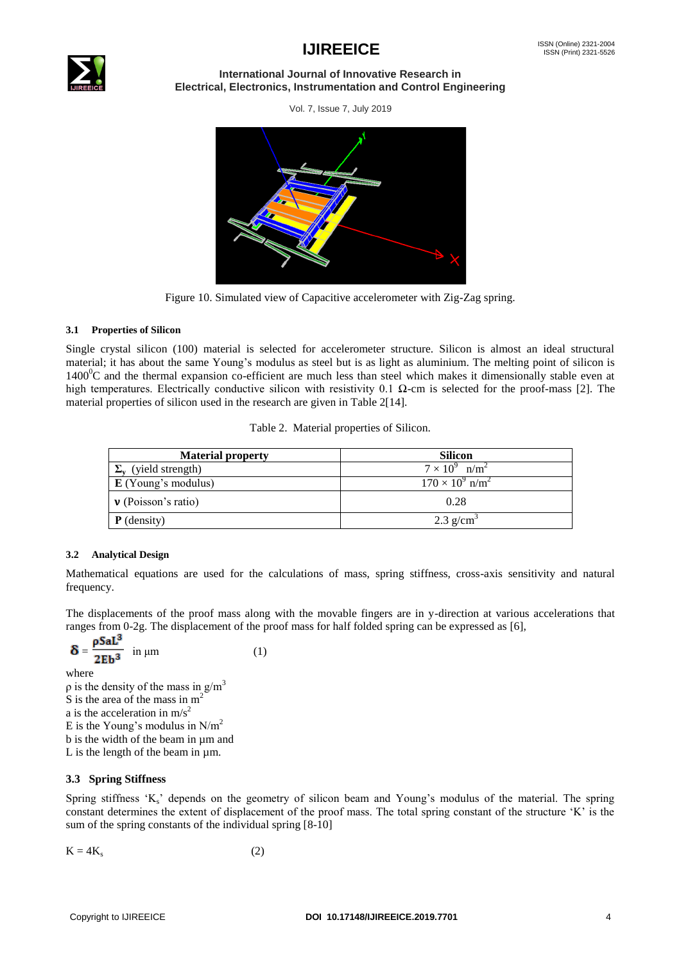

#### **International Journal of Innovative Research in Electrical, Electronics, Instrumentation and Control Engineering**

Vol. 7, Issue 7, July 2019



Figure 10. Simulated view of Capacitive accelerometer with Zig-Zag spring.

#### **3.1 Properties of Silicon**

Single crystal silicon (100) material is selected for accelerometer structure. Silicon is almost an ideal structural material; it has about the same Young"s modulus as steel but is as light as aluminium. The melting point of silicon is  $1400^{\circ}$ C and the thermal expansion co-efficient are much less than steel which makes it dimensionally stable even at high temperatures. Electrically conductive silicon with resistivity 0.1  $\Omega$ -cm is selected for the proof-mass [2]. The material properties of silicon used in the research are given in Table 2[14].

|  |  |  | Table 2. Material properties of Silicon. |
|--|--|--|------------------------------------------|
|--|--|--|------------------------------------------|

| <b>Material property</b>          | <b>Silicon</b>                       |
|-----------------------------------|--------------------------------------|
| $\Sigma_{\rm v}$ (yield strength) | $7 \times 10^9$ n/m <sup>2</sup>     |
| $\mathbf E$ (Young's modulus)     | $170 \times 10^{9}$ n/m <sup>2</sup> |
| $\mathbf v$ (Poisson's ratio)     | 0.28                                 |
| $P$ (density)                     | $2.3$ g/cm <sup>3</sup>              |

#### **3.2 Analytical Design**

Mathematical equations are used for the calculations of mass, spring stiffness, cross-axis sensitivity and natural frequency.

The displacements of the proof mass along with the movable fingers are in y-direction at various accelerations that ranges from 0-2g. The displacement of the proof mass for half folded spring can be expressed as [6],

$$
\delta = \frac{\rho \text{Sal}^3}{2\text{Eb}^3} \text{ in } \mu\text{m}
$$
 (1)

where  $ρ$  is the density of the mass in g/m<sup>3</sup> S is the area of the mass in m<sup>2</sup> a is the acceleration in  $m/s^2$ E is the Young's modulus in  $N/m^2$ b is the width of the beam in µm and L is the length of the beam in µm.

#### **3.3 Spring Stiffness**

Spring stiffness  $K_s$  depends on the geometry of silicon beam and Young's modulus of the material. The spring constant determines the extent of displacement of the proof mass. The total spring constant of the structure "K" is the sum of the spring constants of the individual spring [8-10]

 $K = 4K_s$  (2)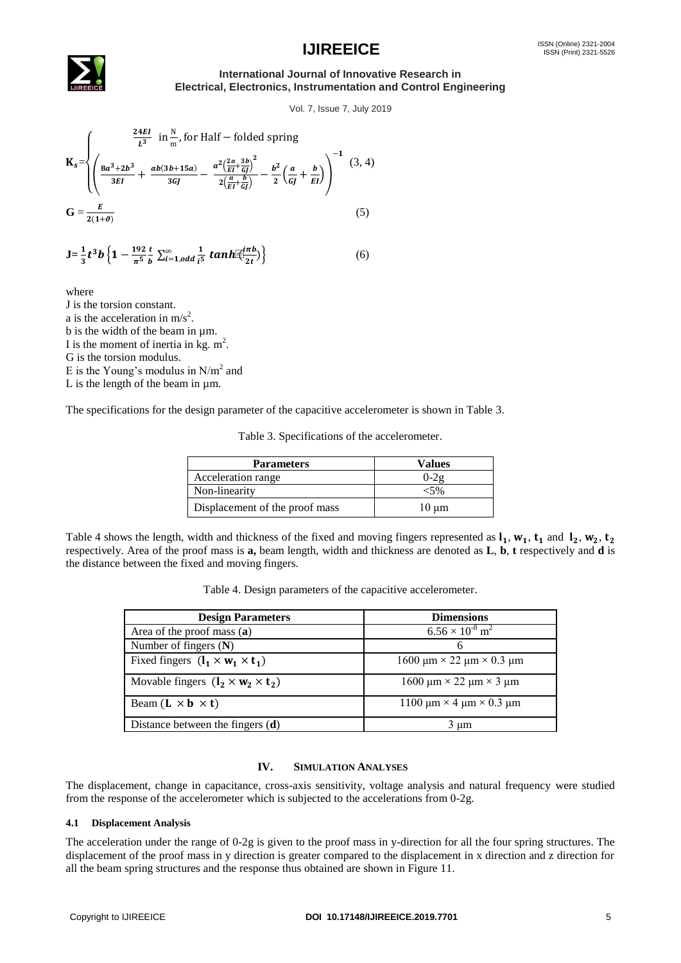

#### **International Journal of Innovative Research in Electrical, Electronics, Instrumentation and Control Engineering**

Vol. 7, Issue 7, July 2019

$$
\mathbf{K}_{s} = \begin{cases} \frac{24EI}{L^{3}} & \text{in } \frac{N}{m}, \text{for Half} - \text{folded spring} \\ \left(\frac{8a^{3} + 2b^{3}}{3EI} + \frac{ab(3b + 15a)}{3GI} - \frac{a^{2}(\frac{2a}{EI} + \frac{3b}{GI})^{2}}{2(\frac{a}{EI} + \frac{b}{GI})} - \frac{b^{2}}{2}(\frac{a}{GI} + \frac{b}{EI})\right)^{-1} & (3, 4) \\ 0 & \text{if } 3EI \end{cases}
$$
\n
$$
\mathbf{G} = \frac{E}{2(1+\theta)}
$$
\n
$$
\tag{5}
$$

$$
\mathbf{J} = \frac{1}{3}t^3b\left\{1-\frac{192}{\pi^5}\frac{t}{b}\sum_{i=1,odd}\frac{1}{i^5}tanh[\frac{imb}{2t})\right\}\tag{6}
$$

where

J is the torsion constant. a is the acceleration in  $m/s^2$ . b is the width of the beam in µm. I is the moment of inertia in kg.  $m^2$ . G is the torsion modulus. E is the Young's modulus in  $N/m^2$  and L is the length of the beam in µm.

The specifications for the design parameter of the capacitive accelerometer is shown in Table 3.

Table 3. Specifications of the accelerometer.

| <b>Parameters</b>              | Values   |
|--------------------------------|----------|
| Acceleration range             | $0 - 29$ |
| Non-linearity                  |          |
| Displacement of the proof mass | 10 µm    |

Table 4 shows the length, width and thickness of the fixed and moving fingers represented as  $\mathbf{l}_1$ ,  $\mathbf{w}_1$ ,  $\mathbf{t}_1$  and  $\mathbf{l}_2$ ,  $\mathbf{w}_2$ ,  $\mathbf{t}_2$ respectively. Area of the proof mass is **a,** beam length, width and thickness are denoted as **L**, **b**, **t** respectively and **d** is the distance between the fixed and moving fingers.

| Table 4. Design parameters of the capacitive accelerometer. |  |
|-------------------------------------------------------------|--|
|-------------------------------------------------------------|--|

| <b>Design Parameters</b>                      | <b>Dimensions</b>                           |
|-----------------------------------------------|---------------------------------------------|
| Area of the proof mass (a)                    | $6.56 \times 10^{-8}$ m <sup>2</sup>        |
| Number of fingers $(N)$                       |                                             |
| Fixed fingers $(l_1 \times w_1 \times t_1)$   | 1600 μm $\times$ 22 μm $\times$ 0.3 μm      |
| Movable fingers $(l_2 \times w_2 \times t_2)$ | $1600 \mu m \times 22 \mu m \times 3 \mu m$ |
| Beam $(L \times b \times t)$                  | 1100 μm $\times$ 4 μm $\times$ 0.3 μm       |
| Distance between the fingers $(d)$            | 3 um                                        |

#### **IV. SIMULATION ANALYSES**

The displacement, change in capacitance, cross-axis sensitivity, voltage analysis and natural frequency were studied from the response of the accelerometer which is subjected to the accelerations from 0-2g.

#### **4.1 Displacement Analysis**

The acceleration under the range of 0-2g is given to the proof mass in y-direction for all the four spring structures. The displacement of the proof mass in y direction is greater compared to the displacement in x direction and z direction for all the beam spring structures and the response thus obtained are shown in Figure 11.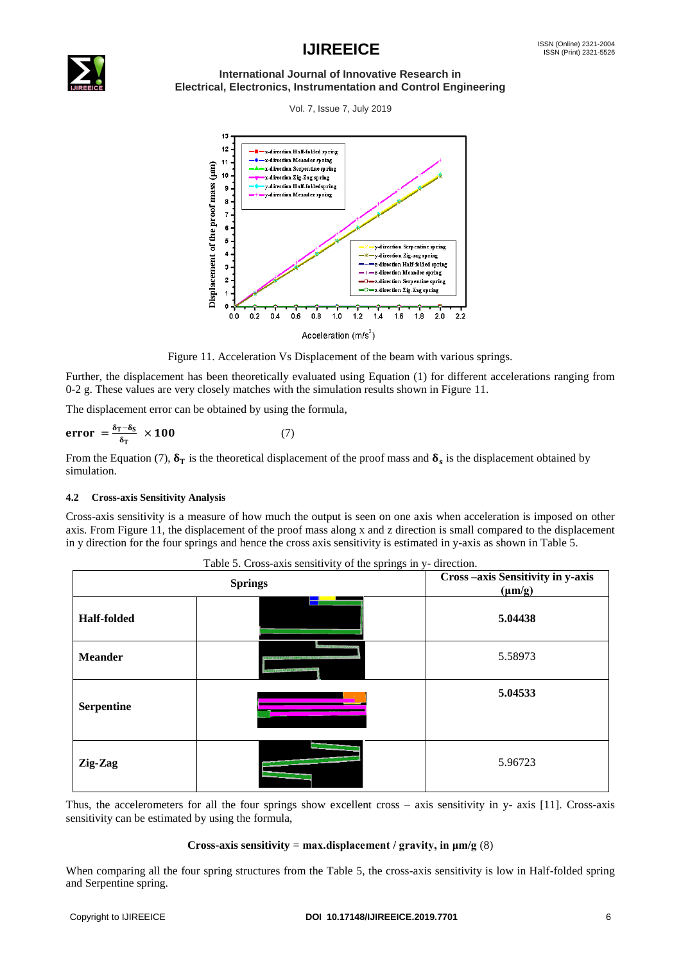

#### **International Journal of Innovative Research in Electrical, Electronics, Instrumentation and Control Engineering**

Vol. 7, Issue 7, July 2019



Figure 11. Acceleration Vs Displacement of the beam with various springs.

Further, the displacement has been theoretically evaluated using Equation (1) for different accelerations ranging from 0-2 g. These values are very closely matches with the simulation results shown in Figure 11.

The displacement error can be obtained by using the formula,

$$
error = \frac{\delta_T - \delta_S}{\delta_T} \times 100 \tag{7}
$$

From the Equation (7),  $\delta_T$  is the theoretical displacement of the proof mass and  $\delta_s$  is the displacement obtained by simulation.

#### **4.2 Cross-axis Sensitivity Analysis**

Cross-axis sensitivity is a measure of how much the output is seen on one axis when acceleration is imposed on other axis. From Figure 11, the displacement of the proof mass along x and z direction is small compared to the displacement in y direction for the four springs and hence the cross axis sensitivity is estimated in y-axis as shown in Table 5.

| <b>Springs</b>     |                                                                                | Cross-axis Sensitivity in y-axis<br>$(\mu m/g)$ |
|--------------------|--------------------------------------------------------------------------------|-------------------------------------------------|
| <b>Half-folded</b> |                                                                                | 5.04438                                         |
| <b>Meander</b>     | <b>MERCEEFARTS EXTRACT</b><br><u> 1979's AND AND STATISTIC ON THE USE OF T</u> | 5.58973                                         |
| <b>Serpentine</b>  |                                                                                | 5.04533                                         |
| Zig-Zag            |                                                                                | 5.96723                                         |

Table 5. Cross-axis sensitivity of the springs in y- direction.

Thus, the accelerometers for all the four springs show excellent cross – axis sensitivity in y- axis [11]. Cross-axis sensitivity can be estimated by using the formula,

#### **Cross-axis sensitivity = max.displacement / gravity, in**  $\mu$ **m/g** (8)

When comparing all the four spring structures from the Table 5, the cross-axis sensitivity is low in Half-folded spring and Serpentine spring.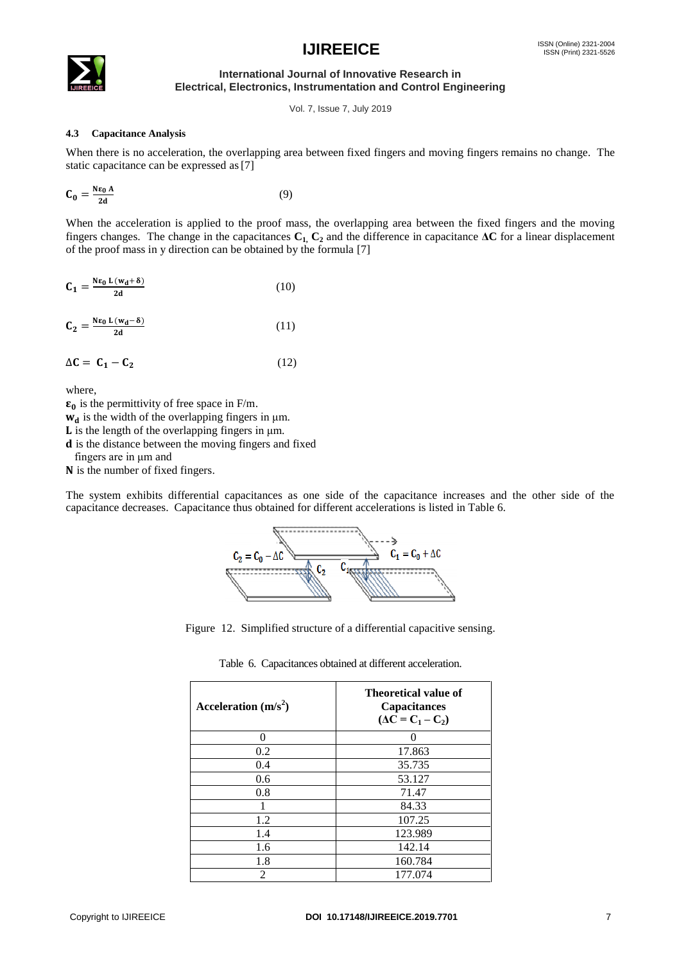

**International Journal of Innovative Research in Electrical, Electronics, Instrumentation and Control Engineering**

Vol. 7, Issue 7, July 2019

#### **4.3 Capacitance Analysis**

When there is no acceleration, the overlapping area between fixed fingers and moving fingers remains no change. The static capacitance can be expressed as[7]

$$
\mathbf{C_0} = \frac{\mathbf{N}\mathbf{\varepsilon_0} \mathbf{A}}{2\mathbf{d}} \tag{9}
$$

When the acceleration is applied to the proof mass, the overlapping area between the fixed fingers and the moving fingers changes. The change in the capacitances  $C_1$ ,  $C_2$  and the difference in capacitance  $\Delta C$  for a linear displacement of the proof mass in y direction can be obtained by the formula [7]

| C <sub>1</sub> | $=\frac{N\epsilon_0 L (w_d+\delta)}{N}$ | (10) |
|----------------|-----------------------------------------|------|
|                | 2d                                      |      |

$$
C_2 = \frac{N\epsilon_0 L (w_d - \delta)}{2d} \tag{11}
$$

$$
\Delta C = C_1 - C_2 \tag{12}
$$

where,

 $\epsilon_0$  is the permittivity of free space in F/m.

 $w_d$  is the width of the overlapping fingers in  $\mu$ m.

 $L$  is the length of the overlapping fingers in  $\mu$ m.

d is the distance between the moving fingers and fixed

fingers are in μm and

N is the number of fixed fingers.

The system exhibits differential capacitances as one side of the capacitance increases and the other side of the capacitance decreases. Capacitance thus obtained for different accelerations is listed in Table 6.



Figure 12. Simplified structure of a differential capacitive sensing.

| Acceleration $(m/s^2)$ | Theoretical value of<br>Capacitances<br>$(\Delta C = C_1 - C_2)$ |  |  |
|------------------------|------------------------------------------------------------------|--|--|
| 0                      |                                                                  |  |  |
| 0.2                    | 17.863                                                           |  |  |
| 0.4                    | 35.735                                                           |  |  |
| 0.6                    | 53.127                                                           |  |  |
| 0.8                    | 71.47                                                            |  |  |
| 1                      | 84.33                                                            |  |  |
| 1.2                    | 107.25                                                           |  |  |
| 1.4                    | 123.989                                                          |  |  |
| 1.6                    | 142.14                                                           |  |  |
| 1.8                    | 160.784                                                          |  |  |
| $\overline{c}$         | 177.074                                                          |  |  |

Table 6. Capacitances obtained at different acceleration.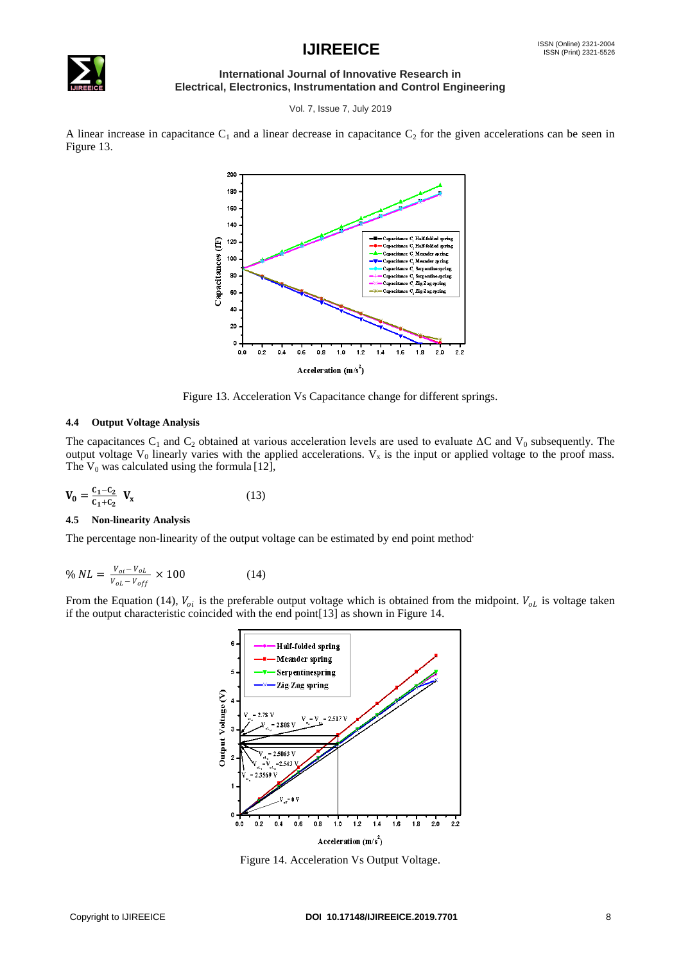

#### **International Journal of Innovative Research in Electrical, Electronics, Instrumentation and Control Engineering**

Vol. 7, Issue 7, July 2019

A linear increase in capacitance  $C_1$  and a linear decrease in capacitance  $C_2$  for the given accelerations can be seen in Figure 13.



Figure 13. Acceleration Vs Capacitance change for different springs.

#### **4.4 Output Voltage Analysis**

The capacitances C<sub>1</sub> and C<sub>2</sub> obtained at various acceleration levels are used to evaluate  $\Delta C$  and V<sub>0</sub> subsequently. The output voltage  $V_0$  linearly varies with the applied accelerations.  $V_x$  is the input or applied voltage to the proof mass. The  $V_0$  was calculated using the formula [12],

$$
V_0 = \frac{c_1 - c_2}{c_1 + c_2} V_x
$$
 (13)

#### **4.5 Non-linearity Analysis**

The percentage non-linearity of the output voltage can be estimated by end point method,

$$
\% NL = \frac{v_{oi} - v_{ol}}{v_{ol} - v_{off}} \times 100 \tag{14}
$$

From the Equation (14),  $V_{oi}$  is the preferable output voltage which is obtained from the midpoint.  $V_{ol}$  is voltage taken if the output characteristic coincided with the end point[13] as shown in Figure 14.



Figure 14. Acceleration Vs Output Voltage.